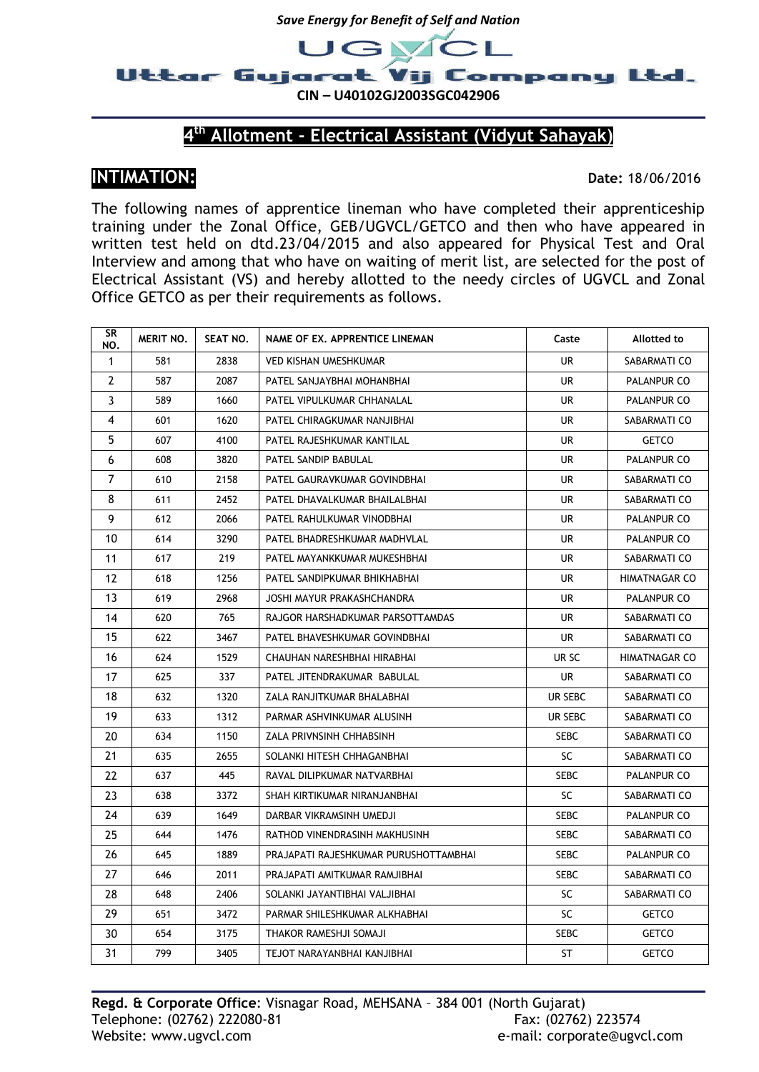



**CIN – U40102GJ2003SGC042906**

## **th Allotment - Electrical Assistant (Vidyut Sahayak)**

## **INTIMATION: Date:** 18/06/2016

The following names of apprentice lineman who have completed their apprenticeship training under the Zonal Office, GEB/UGVCL/GETCO and then who have appeared in written test held on dtd.23/04/2015 and also appeared for Physical Test and Oral Interview and among that who have on waiting of merit list, are selected for the post of Electrical Assistant (VS) and hereby allotted to the needy circles of UGVCL and Zonal Office GETCO as per their requirements as follows.

| SR<br>NO.    | MERIT NO. | SEAT NO. | NAME OF EX. APPRENTICE LINEMAN        | Caste       | Allotted to          |
|--------------|-----------|----------|---------------------------------------|-------------|----------------------|
| $\mathbf{1}$ | 581       | 2838     | <b>VED KISHAN UMESHKUMAR</b>          | UR.         | SABARMATI CO         |
| 2            | 587       | 2087     | PATEL SANJAYBHAI MOHANBHAI            | <b>UR</b>   | PALANPUR CO          |
| 3            | 589       | 1660     | PATEL VIPULKUMAR CHHANALAL            | <b>UR</b>   | PALANPUR CO          |
| 4            | 601       | 1620     | PATEL CHIRAGKUMAR NANJIBHAI           | UR.         | SABARMATI CO         |
| 5            | 607       | 4100     | PATEL RAJESHKUMAR KANTILAL            | UR          | <b>GETCO</b>         |
| 6            | 608       | 3820     | PATEL SANDIP BABULAL                  | UR          | PALANPUR CO          |
| 7            | 610       | 2158     | PATEL GAURAVKUMAR GOVINDBHAI          | <b>UR</b>   | SABARMATI CO         |
| 8            | 611       | 2452     | PATEL DHAVALKUMAR BHAILALBHAI         | UR          | SABARMATI CO         |
| 9            | 612       | 2066     | PATEL RAHULKUMAR VINODBHAI            | UR.         | PALANPUR CO          |
| 10           | 614       | 3290     | PATEL BHADRESHKUMAR MADHVLAL          | UR.         | PALANPUR CO          |
| 11           | 617       | 219      | PATEL MAYANKKUMAR MUKESHBHAI          | UR          | SABARMATI CO         |
| 12           | 618       | 1256     | PATEL SANDIPKUMAR BHIKHABHAI          | UR.         | <b>HIMATNAGAR CO</b> |
| 13           | 619       | 2968     | JOSHI MAYUR PRAKASHCHANDRA            | UR          | PALANPUR CO          |
| 14           | 620       | 765      | RAJGOR HARSHADKUMAR PARSOTTAMDAS      | UR          | SABARMATI CO         |
| 15           | 622       | 3467     | PATEL BHAVESHKUMAR GOVINDBHAI         | UR          | SABARMATI CO         |
| 16           | 624       | 1529     | CHAUHAN NARESHBHAI HIRABHAI           | UR SC       | <b>HIMATNAGAR CO</b> |
| 17           | 625       | 337      | PATEL JITENDRAKUMAR BABULAL           | UR.         | SABARMATI CO         |
| 18           | 632       | 1320     | ZALA RANJITKUMAR BHALABHAI            | UR SEBC     | SABARMATI CO         |
| 19           | 633       | 1312     | PARMAR ASHVINKUMAR ALUSINH            | UR SEBC     | SABARMATI CO         |
| 20           | 634       | 1150     | ZALA PRIVNSINH CHHABSINH              | <b>SEBC</b> | SABARMATI CO         |
| 21           | 635       | 2655     | SOLANKI HITESH CHHAGANBHAI            | SC          | SABARMATI CO         |
| 22           | 637       | 445      | RAVAL DILIPKUMAR NATVARBHAI           | <b>SEBC</b> | PALANPUR CO          |
| 23           | 638       | 3372     | SHAH KIRTIKUMAR NIRANJANBHAI          | SC          | SABARMATI CO         |
| 24           | 639       | 1649     | DARBAR VIKRAMSINH UMEDJI              | <b>SEBC</b> | PALANPUR CO          |
| 25           | 644       | 1476     | RATHOD VINENDRASINH MAKHUSINH         | <b>SEBC</b> | SABARMATI CO         |
| 26           | 645       | 1889     | PRAJAPATI RAJESHKUMAR PURUSHOTTAMBHAI | <b>SEBC</b> | PALANPUR CO          |
| 27           | 646       | 2011     | PRAJAPATI AMITKUMAR RAMJIBHAI         | <b>SEBC</b> | SABARMATI CO         |
| 28           | 648       | 2406     | SOLANKI JAYANTIBHAI VALJIBHAI         | SC          | SABARMATI CO         |
| 29           | 651       | 3472     | PARMAR SHILESHKUMAR ALKHABHAI         | SC          | <b>GETCO</b>         |
| 30           | 654       | 3175     | THAKOR RAMESHJI SOMAJI                | <b>SEBC</b> | <b>GETCO</b>         |
| 31           | 799       | 3405     | TEJOT NARAYANBHAI KANJIBHAI           | ST          | <b>GETCO</b>         |